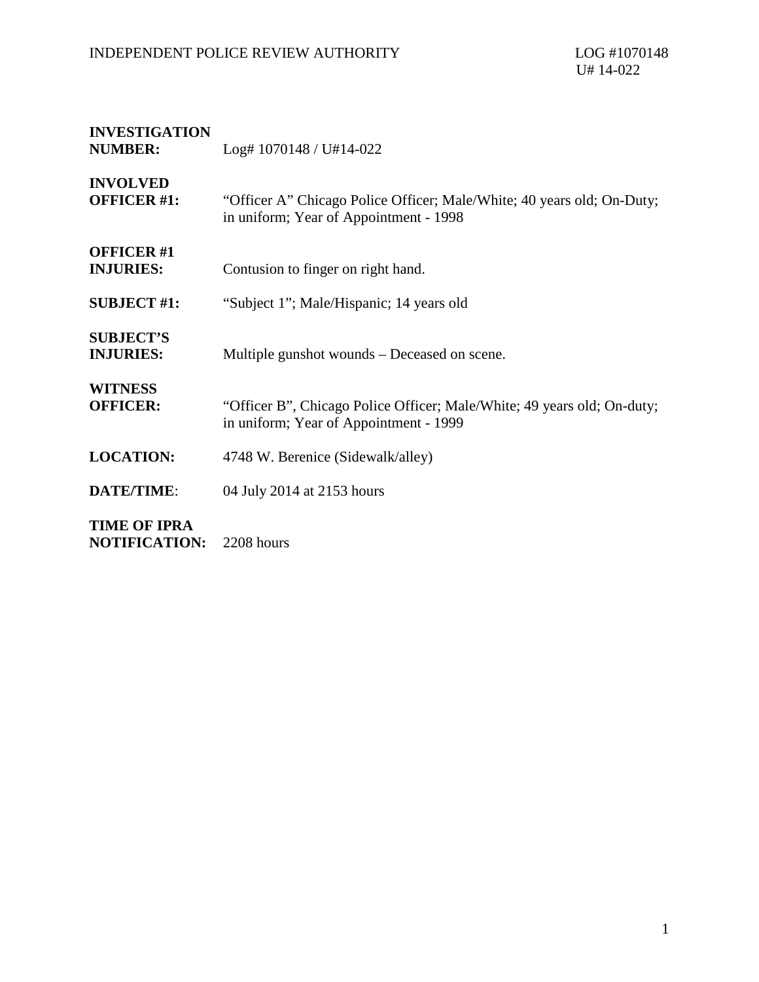## INDEPENDENT POLICE REVIEW AUTHORITY LOG #1070148

| <b>INVESTIGATION</b><br><b>NUMBER:</b>      | $Log# 1070148 / U#14-022$                                                                                         |
|---------------------------------------------|-------------------------------------------------------------------------------------------------------------------|
| <b>INVOLVED</b><br><b>OFFICER #1:</b>       | "Officer A" Chicago Police Officer; Male/White; 40 years old; On-Duty;<br>in uniform; Year of Appointment - 1998  |
| <b>OFFICER #1</b><br><b>INJURIES:</b>       | Contusion to finger on right hand.                                                                                |
| <b>SUBJECT #1:</b>                          | "Subject 1"; Male/Hispanic; 14 years old                                                                          |
| <b>SUBJECT'S</b><br><b>INJURIES:</b>        | Multiple gunshot wounds – Deceased on scene.                                                                      |
| <b>WITNESS</b><br><b>OFFICER:</b>           | "Officer B", Chicago Police Officer; Male/White; 49 years old; On-duty;<br>in uniform; Year of Appointment - 1999 |
| <b>LOCATION:</b>                            | 4748 W. Berenice (Sidewalk/alley)                                                                                 |
| <b>DATE/TIME:</b>                           | 04 July 2014 at 2153 hours                                                                                        |
| <b>TIME OF IPRA</b><br><b>NOTIFICATION:</b> | 2208 hours                                                                                                        |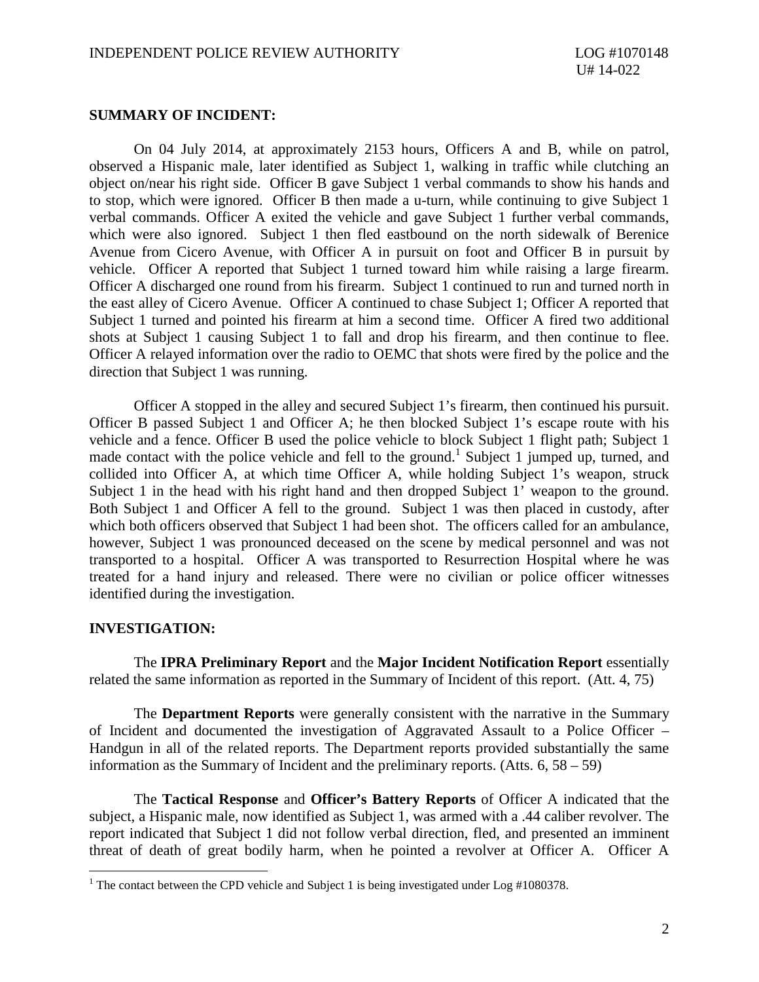## **SUMMARY OF INCIDENT:**

On 04 July 2014, at approximately 2153 hours, Officers A and B, while on patrol, observed a Hispanic male, later identified as Subject 1, walking in traffic while clutching an object on/near his right side. Officer B gave Subject 1 verbal commands to show his hands and to stop, which were ignored. Officer B then made a u-turn, while continuing to give Subject 1 verbal commands. Officer A exited the vehicle and gave Subject 1 further verbal commands, which were also ignored. Subject 1 then fled eastbound on the north sidewalk of Berenice Avenue from Cicero Avenue, with Officer A in pursuit on foot and Officer B in pursuit by vehicle. Officer A reported that Subject 1 turned toward him while raising a large firearm. Officer A discharged one round from his firearm. Subject 1 continued to run and turned north in the east alley of Cicero Avenue. Officer A continued to chase Subject 1; Officer A reported that Subject 1 turned and pointed his firearm at him a second time. Officer A fired two additional shots at Subject 1 causing Subject 1 to fall and drop his firearm, and then continue to flee. Officer A relayed information over the radio to OEMC that shots were fired by the police and the direction that Subject 1 was running.

Officer A stopped in the alley and secured Subject 1's firearm, then continued his pursuit. Officer B passed Subject 1 and Officer A; he then blocked Subject 1's escape route with his vehicle and a fence. Officer B used the police vehicle to block Subject 1 flight path; Subject 1 made contact with the police vehicle and fell to the ground.<sup>1</sup> Subject 1 jumped up, turned, and collided into Officer A, at which time Officer A, while holding Subject 1's weapon, struck Subject 1 in the head with his right hand and then dropped Subject 1' weapon to the ground. Both Subject 1 and Officer A fell to the ground. Subject 1 was then placed in custody, after which both officers observed that Subject 1 had been shot. The officers called for an ambulance, however, Subject 1 was pronounced deceased on the scene by medical personnel and was not transported to a hospital. Officer A was transported to Resurrection Hospital where he was treated for a hand injury and released. There were no civilian or police officer witnesses identified during the investigation.

## **INVESTIGATION:**

The **IPRA Preliminary Report** and the **Major Incident Notification Report** essentially related the same information as reported in the Summary of Incident of this report. (Att. 4, 75)

The **Department Reports** were generally consistent with the narrative in the Summary of Incident and documented the investigation of Aggravated Assault to a Police Officer – Handgun in all of the related reports. The Department reports provided substantially the same information as the Summary of Incident and the preliminary reports. (Atts.  $6, 58 - 59$ )

The **Tactical Response** and **Officer's Battery Reports** of Officer A indicated that the subject, a Hispanic male, now identified as Subject 1, was armed with a .44 caliber revolver. The report indicated that Subject 1 did not follow verbal direction, fled, and presented an imminent threat of death of great bodily harm, when he pointed a revolver at Officer A. Officer A

<sup>&</sup>lt;sup>1</sup> The contact between the CPD vehicle and Subject 1 is being investigated under Log  $\#1080378$ .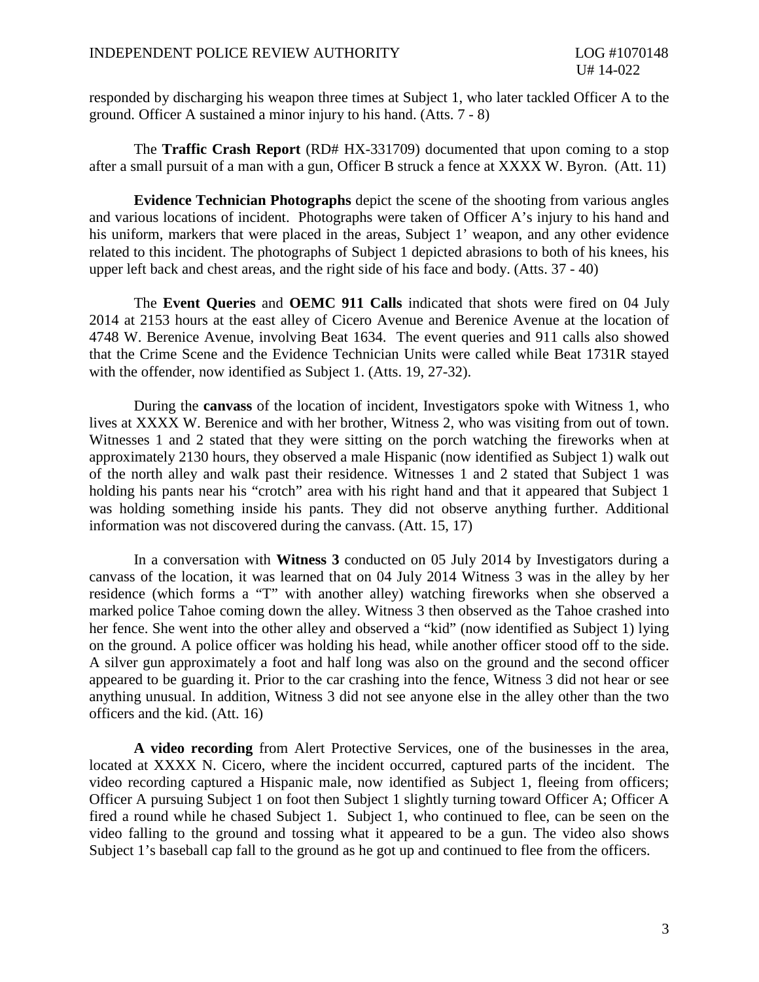responded by discharging his weapon three times at Subject 1, who later tackled Officer A to the ground. Officer A sustained a minor injury to his hand. (Atts. 7 - 8)

The **Traffic Crash Report** (RD# HX-331709) documented that upon coming to a stop after a small pursuit of a man with a gun, Officer B struck a fence at XXXX W. Byron. (Att. 11)

**Evidence Technician Photographs** depict the scene of the shooting from various angles and various locations of incident. Photographs were taken of Officer A's injury to his hand and his uniform, markers that were placed in the areas, Subject 1' weapon, and any other evidence related to this incident. The photographs of Subject 1 depicted abrasions to both of his knees, his upper left back and chest areas, and the right side of his face and body. (Atts. 37 - 40)

The **Event Queries** and **OEMC 911 Calls** indicated that shots were fired on 04 July 2014 at 2153 hours at the east alley of Cicero Avenue and Berenice Avenue at the location of 4748 W. Berenice Avenue, involving Beat 1634. The event queries and 911 calls also showed that the Crime Scene and the Evidence Technician Units were called while Beat 1731R stayed with the offender, now identified as Subject 1. (Atts. 19, 27-32).

During the **canvass** of the location of incident, Investigators spoke with Witness 1, who lives at XXXX W. Berenice and with her brother, Witness 2, who was visiting from out of town. Witnesses 1 and 2 stated that they were sitting on the porch watching the fireworks when at approximately 2130 hours, they observed a male Hispanic (now identified as Subject 1) walk out of the north alley and walk past their residence. Witnesses 1 and 2 stated that Subject 1 was holding his pants near his "crotch" area with his right hand and that it appeared that Subject 1 was holding something inside his pants. They did not observe anything further. Additional information was not discovered during the canvass. (Att. 15, 17)

In a conversation with **Witness 3** conducted on 05 July 2014 by Investigators during a canvass of the location, it was learned that on 04 July 2014 Witness 3 was in the alley by her residence (which forms a "T" with another alley) watching fireworks when she observed a marked police Tahoe coming down the alley. Witness 3 then observed as the Tahoe crashed into her fence. She went into the other alley and observed a "kid" (now identified as Subject 1) lying on the ground. A police officer was holding his head, while another officer stood off to the side. A silver gun approximately a foot and half long was also on the ground and the second officer appeared to be guarding it. Prior to the car crashing into the fence, Witness 3 did not hear or see anything unusual. In addition, Witness 3 did not see anyone else in the alley other than the two officers and the kid. (Att. 16)

**A video recording** from Alert Protective Services, one of the businesses in the area, located at XXXX N. Cicero, where the incident occurred, captured parts of the incident. The video recording captured a Hispanic male, now identified as Subject 1, fleeing from officers; Officer A pursuing Subject 1 on foot then Subject 1 slightly turning toward Officer A; Officer A fired a round while he chased Subject 1. Subject 1, who continued to flee, can be seen on the video falling to the ground and tossing what it appeared to be a gun. The video also shows Subject 1's baseball cap fall to the ground as he got up and continued to flee from the officers.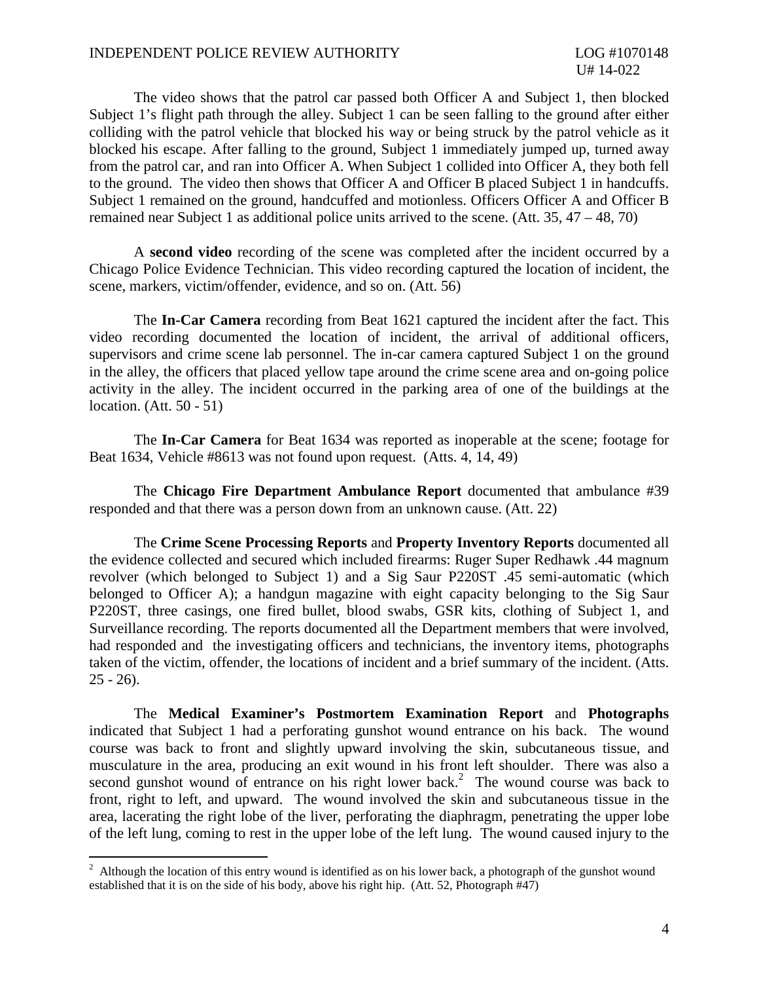The video shows that the patrol car passed both Officer A and Subject 1, then blocked Subject 1's flight path through the alley. Subject 1 can be seen falling to the ground after either colliding with the patrol vehicle that blocked his way or being struck by the patrol vehicle as it blocked his escape. After falling to the ground, Subject 1 immediately jumped up, turned away from the patrol car, and ran into Officer A. When Subject 1 collided into Officer A, they both fell to the ground. The video then shows that Officer A and Officer B placed Subject 1 in handcuffs. Subject 1 remained on the ground, handcuffed and motionless. Officers Officer A and Officer B remained near Subject 1 as additional police units arrived to the scene. (Att. 35, 47 – 48, 70)

A **second video** recording of the scene was completed after the incident occurred by a Chicago Police Evidence Technician. This video recording captured the location of incident, the scene, markers, victim/offender, evidence, and so on. (Att. 56)

The **In-Car Camera** recording from Beat 1621 captured the incident after the fact. This video recording documented the location of incident, the arrival of additional officers, supervisors and crime scene lab personnel. The in-car camera captured Subject 1 on the ground in the alley, the officers that placed yellow tape around the crime scene area and on-going police activity in the alley. The incident occurred in the parking area of one of the buildings at the location. (Att. 50 - 51)

The **In-Car Camera** for Beat 1634 was reported as inoperable at the scene; footage for Beat 1634, Vehicle #8613 was not found upon request. (Atts. 4, 14, 49)

The **Chicago Fire Department Ambulance Report** documented that ambulance #39 responded and that there was a person down from an unknown cause. (Att. 22)

The **Crime Scene Processing Reports** and **Property Inventory Reports** documented all the evidence collected and secured which included firearms: Ruger Super Redhawk .44 magnum revolver (which belonged to Subject 1) and a Sig Saur P220ST .45 semi-automatic (which belonged to Officer A); a handgun magazine with eight capacity belonging to the Sig Saur P220ST, three casings, one fired bullet, blood swabs, GSR kits, clothing of Subject 1, and Surveillance recording. The reports documented all the Department members that were involved, had responded and the investigating officers and technicians, the inventory items, photographs taken of the victim, offender, the locations of incident and a brief summary of the incident. (Atts.  $25 - 26$ ).

The **Medical Examiner's Postmortem Examination Report** and **Photographs** indicated that Subject 1 had a perforating gunshot wound entrance on his back. The wound course was back to front and slightly upward involving the skin, subcutaneous tissue, and musculature in the area, producing an exit wound in his front left shoulder. There was also a second gunshot wound of entrance on his right lower back.<sup>2</sup> The wound course was back to front, right to left, and upward. The wound involved the skin and subcutaneous tissue in the area, lacerating the right lobe of the liver, perforating the diaphragm, penetrating the upper lobe of the left lung, coming to rest in the upper lobe of the left lung. The wound caused injury to the

 $2$  Although the location of this entry wound is identified as on his lower back, a photograph of the gunshot wound established that it is on the side of his body, above his right hip. (Att. 52, Photograph #47)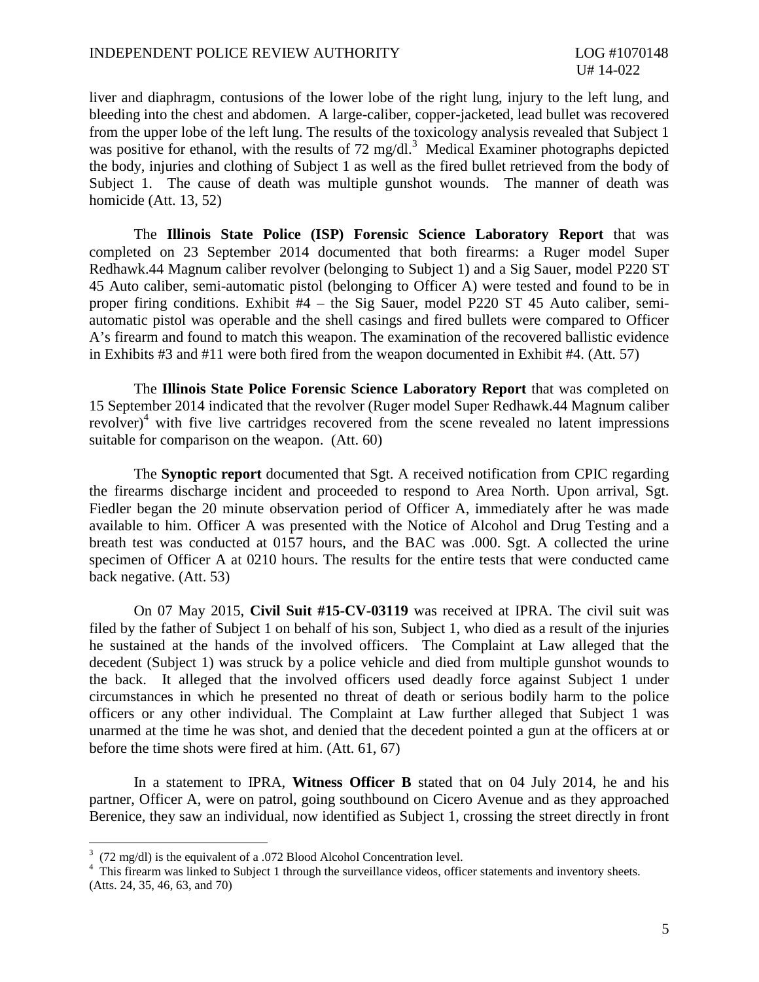liver and diaphragm, contusions of the lower lobe of the right lung, injury to the left lung, and bleeding into the chest and abdomen. A large-caliber, copper-jacketed, lead bullet was recovered from the upper lobe of the left lung. The results of the toxicology analysis revealed that Subject 1 was positive for ethanol, with the results of 72 mg/dl.<sup>3</sup> Medical Examiner photographs depicted the body, injuries and clothing of Subject 1 as well as the fired bullet retrieved from the body of Subject 1. The cause of death was multiple gunshot wounds. The manner of death was homicide (Att. 13, 52)

The **Illinois State Police (ISP) Forensic Science Laboratory Report** that was completed on 23 September 2014 documented that both firearms: a Ruger model Super Redhawk.44 Magnum caliber revolver (belonging to Subject 1) and a Sig Sauer, model P220 ST 45 Auto caliber, semi-automatic pistol (belonging to Officer A) were tested and found to be in proper firing conditions. Exhibit #4 – the Sig Sauer, model P220 ST 45 Auto caliber, semiautomatic pistol was operable and the shell casings and fired bullets were compared to Officer A's firearm and found to match this weapon. The examination of the recovered ballistic evidence in Exhibits #3 and #11 were both fired from the weapon documented in Exhibit #4. (Att. 57)

The **Illinois State Police Forensic Science Laboratory Report** that was completed on 15 September 2014 indicated that the revolver (Ruger model Super Redhawk.44 Magnum caliber revolver)<sup>4</sup> with five live cartridges recovered from the scene revealed no latent impressions suitable for comparison on the weapon. (Att. 60)

The **Synoptic report** documented that Sgt. A received notification from CPIC regarding the firearms discharge incident and proceeded to respond to Area North. Upon arrival, Sgt. Fiedler began the 20 minute observation period of Officer A, immediately after he was made available to him. Officer A was presented with the Notice of Alcohol and Drug Testing and a breath test was conducted at 0157 hours, and the BAC was .000. Sgt. A collected the urine specimen of Officer A at 0210 hours. The results for the entire tests that were conducted came back negative. (Att. 53)

On 07 May 2015, **Civil Suit #15-CV-03119** was received at IPRA. The civil suit was filed by the father of Subject 1 on behalf of his son, Subject 1, who died as a result of the injuries he sustained at the hands of the involved officers. The Complaint at Law alleged that the decedent (Subject 1) was struck by a police vehicle and died from multiple gunshot wounds to the back. It alleged that the involved officers used deadly force against Subject 1 under circumstances in which he presented no threat of death or serious bodily harm to the police officers or any other individual. The Complaint at Law further alleged that Subject 1 was unarmed at the time he was shot, and denied that the decedent pointed a gun at the officers at or before the time shots were fired at him. (Att. 61, 67)

In a statement to IPRA, **Witness Officer B** stated that on 04 July 2014, he and his partner, Officer A, were on patrol, going southbound on Cicero Avenue and as they approached Berenice, they saw an individual, now identified as Subject 1, crossing the street directly in front

 $3$  (72 mg/dl) is the equivalent of a .072 Blood Alcohol Concentration level.

<sup>&</sup>lt;sup>4</sup> This firearm was linked to Subject 1 through the surveillance videos, officer statements and inventory sheets. (Atts. 24, 35, 46, 63, and 70)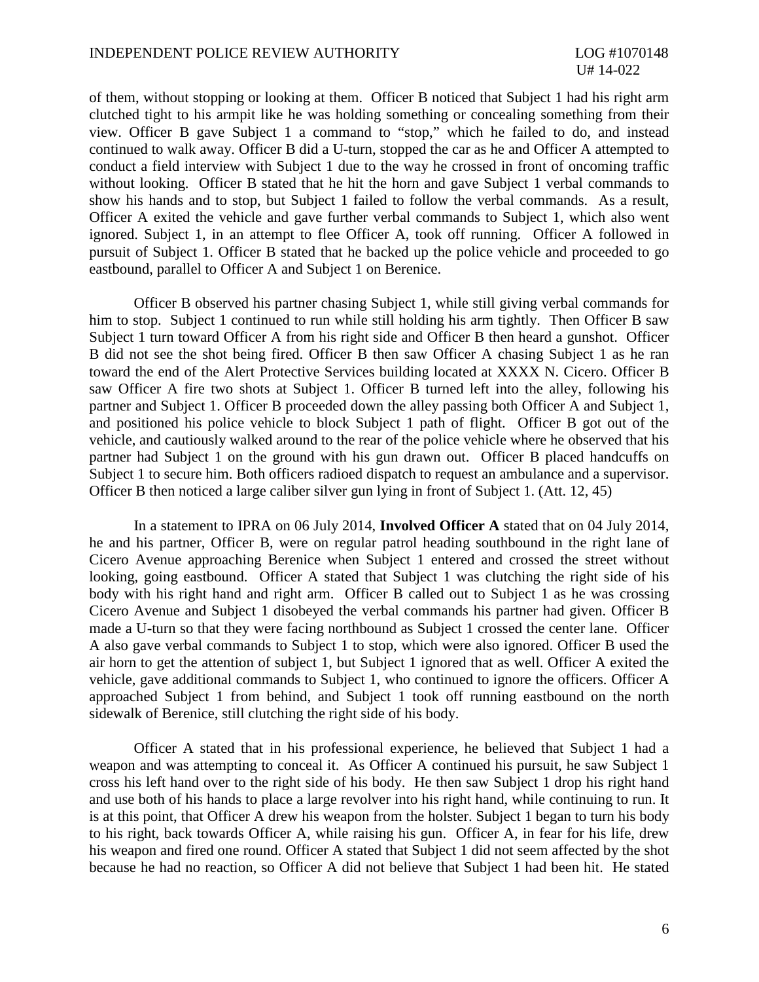of them, without stopping or looking at them. Officer B noticed that Subject 1 had his right arm clutched tight to his armpit like he was holding something or concealing something from their view. Officer B gave Subject 1 a command to "stop," which he failed to do, and instead continued to walk away. Officer B did a U-turn, stopped the car as he and Officer A attempted to conduct a field interview with Subject 1 due to the way he crossed in front of oncoming traffic without looking. Officer B stated that he hit the horn and gave Subject 1 verbal commands to show his hands and to stop, but Subject 1 failed to follow the verbal commands. As a result, Officer A exited the vehicle and gave further verbal commands to Subject 1, which also went ignored. Subject 1, in an attempt to flee Officer A, took off running. Officer A followed in pursuit of Subject 1. Officer B stated that he backed up the police vehicle and proceeded to go eastbound, parallel to Officer A and Subject 1 on Berenice.

Officer B observed his partner chasing Subject 1, while still giving verbal commands for him to stop. Subject 1 continued to run while still holding his arm tightly. Then Officer B saw Subject 1 turn toward Officer A from his right side and Officer B then heard a gunshot. Officer B did not see the shot being fired. Officer B then saw Officer A chasing Subject 1 as he ran toward the end of the Alert Protective Services building located at XXXX N. Cicero. Officer B saw Officer A fire two shots at Subject 1. Officer B turned left into the alley, following his partner and Subject 1. Officer B proceeded down the alley passing both Officer A and Subject 1, and positioned his police vehicle to block Subject 1 path of flight. Officer B got out of the vehicle, and cautiously walked around to the rear of the police vehicle where he observed that his partner had Subject 1 on the ground with his gun drawn out. Officer B placed handcuffs on Subject 1 to secure him. Both officers radioed dispatch to request an ambulance and a supervisor. Officer B then noticed a large caliber silver gun lying in front of Subject 1. (Att. 12, 45)

In a statement to IPRA on 06 July 2014, **Involved Officer A** stated that on 04 July 2014, he and his partner, Officer B, were on regular patrol heading southbound in the right lane of Cicero Avenue approaching Berenice when Subject 1 entered and crossed the street without looking, going eastbound. Officer A stated that Subject 1 was clutching the right side of his body with his right hand and right arm. Officer B called out to Subject 1 as he was crossing Cicero Avenue and Subject 1 disobeyed the verbal commands his partner had given. Officer B made a U-turn so that they were facing northbound as Subject 1 crossed the center lane. Officer A also gave verbal commands to Subject 1 to stop, which were also ignored. Officer B used the air horn to get the attention of subject 1, but Subject 1 ignored that as well. Officer A exited the vehicle, gave additional commands to Subject 1, who continued to ignore the officers. Officer A approached Subject 1 from behind, and Subject 1 took off running eastbound on the north sidewalk of Berenice, still clutching the right side of his body.

Officer A stated that in his professional experience, he believed that Subject 1 had a weapon and was attempting to conceal it. As Officer A continued his pursuit, he saw Subject 1 cross his left hand over to the right side of his body. He then saw Subject 1 drop his right hand and use both of his hands to place a large revolver into his right hand, while continuing to run. It is at this point, that Officer A drew his weapon from the holster. Subject 1 began to turn his body to his right, back towards Officer A, while raising his gun. Officer A, in fear for his life, drew his weapon and fired one round. Officer A stated that Subject 1 did not seem affected by the shot because he had no reaction, so Officer A did not believe that Subject 1 had been hit. He stated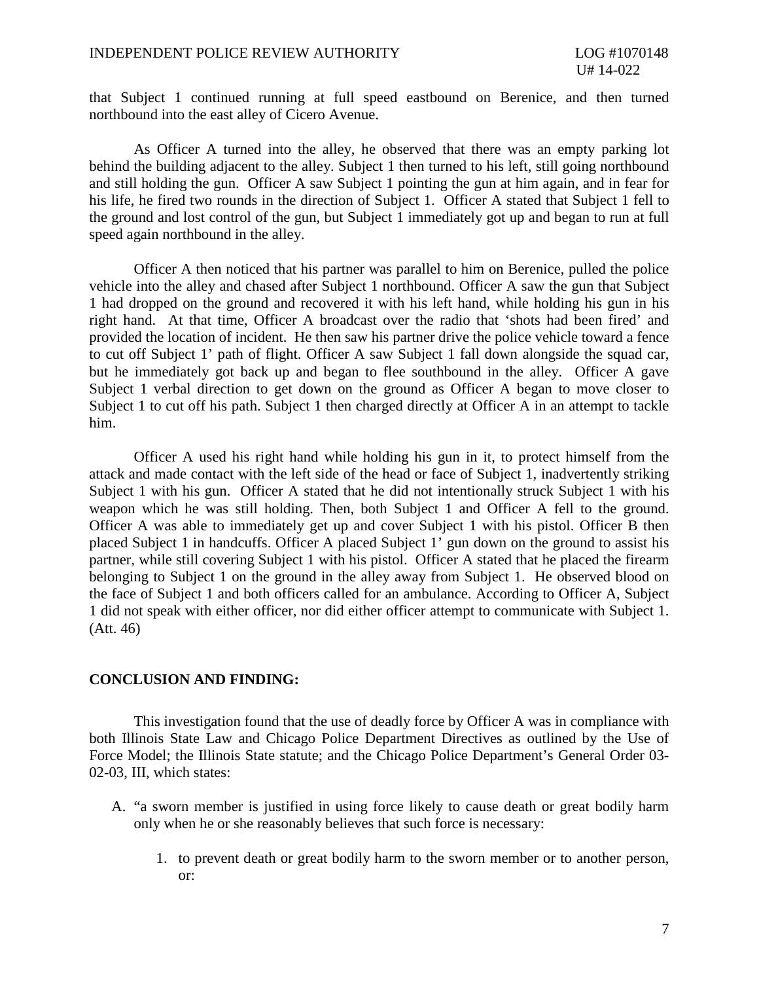that Subject 1 continued running at full speed eastbound on Berenice, and then turned northbound into the east alley of Cicero Avenue.

As Officer A turned into the alley, he observed that there was an empty parking lot behind the building adjacent to the alley. Subject 1 then turned to his left, still going northbound and still holding the gun. Officer A saw Subject 1 pointing the gun at him again, and in fear for his life, he fired two rounds in the direction of Subject 1. Officer A stated that Subject 1 fell to the ground and lost control of the gun, but Subject 1 immediately got up and began to run at full speed again northbound in the alley.

Officer A then noticed that his partner was parallel to him on Berenice, pulled the police vehicle into the alley and chased after Subject 1 northbound. Officer A saw the gun that Subject 1 had dropped on the ground and recovered it with his left hand, while holding his gun in his right hand. At that time, Officer A broadcast over the radio that 'shots had been fired' and provided the location of incident. He then saw his partner drive the police vehicle toward a fence to cut off Subject 1' path of flight. Officer A saw Subject 1 fall down alongside the squad car, but he immediately got back up and began to flee southbound in the alley. Officer A gave Subject 1 verbal direction to get down on the ground as Officer A began to move closer to Subject 1 to cut off his path. Subject 1 then charged directly at Officer A in an attempt to tackle him.

Officer A used his right hand while holding his gun in it, to protect himself from the attack and made contact with the left side of the head or face of Subject 1, inadvertently striking Subject 1 with his gun. Officer A stated that he did not intentionally struck Subject 1 with his weapon which he was still holding. Then, both Subject 1 and Officer A fell to the ground. Officer A was able to immediately get up and cover Subject 1 with his pistol. Officer B then placed Subject 1 in handcuffs. Officer A placed Subject 1' gun down on the ground to assist his partner, while still covering Subject 1 with his pistol. Officer A stated that he placed the firearm belonging to Subject 1 on the ground in the alley away from Subject 1. He observed blood on the face of Subject 1 and both officers called for an ambulance. According to Officer A, Subject 1 did not speak with either officer, nor did either officer attempt to communicate with Subject 1. (Att. 46)

## **CONCLUSION AND FINDING:**

This investigation found that the use of deadly force by Officer A was in compliance with both Illinois State Law and Chicago Police Department Directives as outlined by the Use of Force Model; the Illinois State statute; and the Chicago Police Department's General Order 03- 02-03, III, which states:

- A. "a sworn member is justified in using force likely to cause death or great bodily harm only when he or she reasonably believes that such force is necessary:
	- 1. to prevent death or great bodily harm to the sworn member or to another person, or: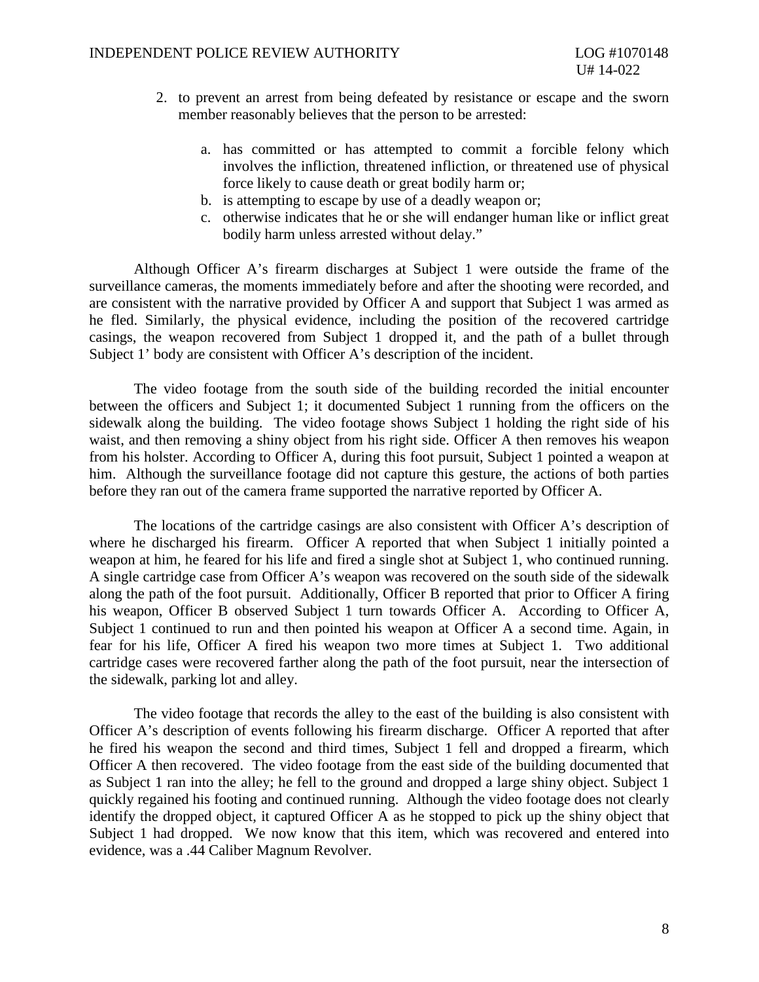- 2. to prevent an arrest from being defeated by resistance or escape and the sworn member reasonably believes that the person to be arrested:
	- a. has committed or has attempted to commit a forcible felony which involves the infliction, threatened infliction, or threatened use of physical force likely to cause death or great bodily harm or;
	- b. is attempting to escape by use of a deadly weapon or;
	- c. otherwise indicates that he or she will endanger human like or inflict great bodily harm unless arrested without delay."

Although Officer A's firearm discharges at Subject 1 were outside the frame of the surveillance cameras, the moments immediately before and after the shooting were recorded, and are consistent with the narrative provided by Officer A and support that Subject 1 was armed as he fled. Similarly, the physical evidence, including the position of the recovered cartridge casings, the weapon recovered from Subject 1 dropped it, and the path of a bullet through Subject 1' body are consistent with Officer A's description of the incident.

The video footage from the south side of the building recorded the initial encounter between the officers and Subject 1; it documented Subject 1 running from the officers on the sidewalk along the building. The video footage shows Subject 1 holding the right side of his waist, and then removing a shiny object from his right side. Officer A then removes his weapon from his holster. According to Officer A, during this foot pursuit, Subject 1 pointed a weapon at him. Although the surveillance footage did not capture this gesture, the actions of both parties before they ran out of the camera frame supported the narrative reported by Officer A.

The locations of the cartridge casings are also consistent with Officer A's description of where he discharged his firearm. Officer A reported that when Subject 1 initially pointed a weapon at him, he feared for his life and fired a single shot at Subject 1, who continued running. A single cartridge case from Officer A's weapon was recovered on the south side of the sidewalk along the path of the foot pursuit. Additionally, Officer B reported that prior to Officer A firing his weapon, Officer B observed Subject 1 turn towards Officer A. According to Officer A, Subject 1 continued to run and then pointed his weapon at Officer A a second time. Again, in fear for his life, Officer A fired his weapon two more times at Subject 1. Two additional cartridge cases were recovered farther along the path of the foot pursuit, near the intersection of the sidewalk, parking lot and alley.

The video footage that records the alley to the east of the building is also consistent with Officer A's description of events following his firearm discharge. Officer A reported that after he fired his weapon the second and third times, Subject 1 fell and dropped a firearm, which Officer A then recovered. The video footage from the east side of the building documented that as Subject 1 ran into the alley; he fell to the ground and dropped a large shiny object. Subject 1 quickly regained his footing and continued running. Although the video footage does not clearly identify the dropped object, it captured Officer A as he stopped to pick up the shiny object that Subject 1 had dropped. We now know that this item, which was recovered and entered into evidence, was a .44 Caliber Magnum Revolver.